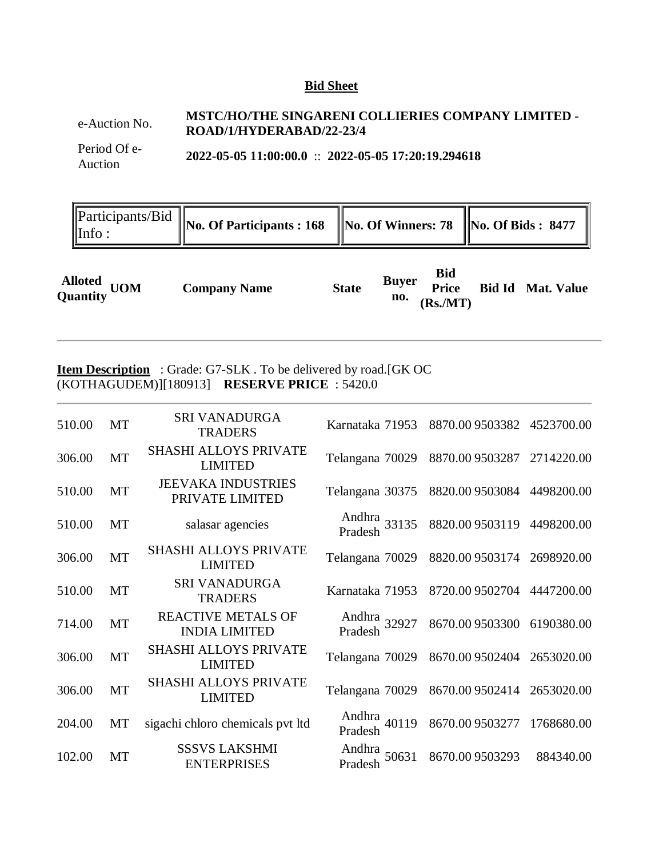## **Bid Sheet**

# e-Auction No. **MSTC/HO/THE SINGARENI COLLIERIES COMPANY LIMITED -ROAD/1/HYDERABAD/22-23/4**

Period Of e-Auction **2022-05-05 11:00:00.0** :: **2022-05-05 17:20:19.294618**

| $\mathsf{llnfo}$ : | $\left\  \text{Participants/Bid } \right\ _{\text{No. Of Participants : 168}}$ $\left\  \text{No. Of Winners: 78 } \right\ $ No. Of Bids : 8477 $\left\  \text{No. of Bids : 8477 } \right\ $ |  |  |
|--------------------|-----------------------------------------------------------------------------------------------------------------------------------------------------------------------------------------------|--|--|
|                    |                                                                                                                                                                                               |  |  |

|                         |                     |              | <b>Buver</b> | <b>Bid</b>   |                          |
|-------------------------|---------------------|--------------|--------------|--------------|--------------------------|
| Alloted<br>Quantity UOM | <b>Company Name</b> | <b>State</b> | no.          | <b>Price</b> | <b>Bid Id Mat. Value</b> |
|                         |                     |              |              | (Rs/MT)      |                          |

# **Item Description** : Grade: G7-SLK. To be delivered by road.[GK OC (KOTHAGUDEM)][180913] **RESERVE PRICE** : 5420.0

| 510.00 | <b>MT</b> | <b>SRI VANADURGA</b><br><b>TRADERS</b>            | Karnataka 71953         | 8870.009503382             | 4523700.00 |
|--------|-----------|---------------------------------------------------|-------------------------|----------------------------|------------|
| 306.00 | <b>MT</b> | <b>SHASHI ALLOYS PRIVATE</b><br><b>LIMITED</b>    | Telangana 70029         | 8870.009503287             | 2714220.00 |
| 510.00 | <b>MT</b> | <b>JEEVAKA INDUSTRIES</b><br>PRIVATE LIMITED      | Telangana 30375         | 8820.00 9503084 4498200.00 |            |
| 510.00 | <b>MT</b> | salasar agencies                                  | Andhra<br>Pradesh 33135 | 8820.009503119             | 4498200.00 |
| 306.00 | MT        | <b>SHASHI ALLOYS PRIVATE</b><br><b>LIMITED</b>    | Telangana 70029         | 8820.009503174             | 2698920.00 |
| 510.00 | <b>MT</b> | <b>SRI VANADURGA</b><br><b>TRADERS</b>            | Karnataka 71953         | 8720.009502704             | 4447200.00 |
| 714.00 | <b>MT</b> | <b>REACTIVE METALS OF</b><br><b>INDIA LIMITED</b> | Andhra<br>Pradesh 32927 | 8670.00 9503300            | 6190380.00 |
| 306.00 | <b>MT</b> | <b>SHASHI ALLOYS PRIVATE</b><br><b>LIMITED</b>    | Telangana 70029         | 8670.009502404             | 2653020.00 |
| 306.00 | <b>MT</b> | <b>SHASHI ALLOYS PRIVATE</b><br><b>LIMITED</b>    | Telangana 70029         | 8670.009502414             | 2653020.00 |
| 204.00 | MT        | sigachi chloro chemicals pvt ltd                  | Andhra<br>Pradesh 40119 | 8670.00 9503277            | 1768680.00 |
| 102.00 | <b>MT</b> | <b>SSSVS LAKSHMI</b><br><b>ENTERPRISES</b>        | Andhra<br>Pradesh 50631 | 8670.009503293             | 884340.00  |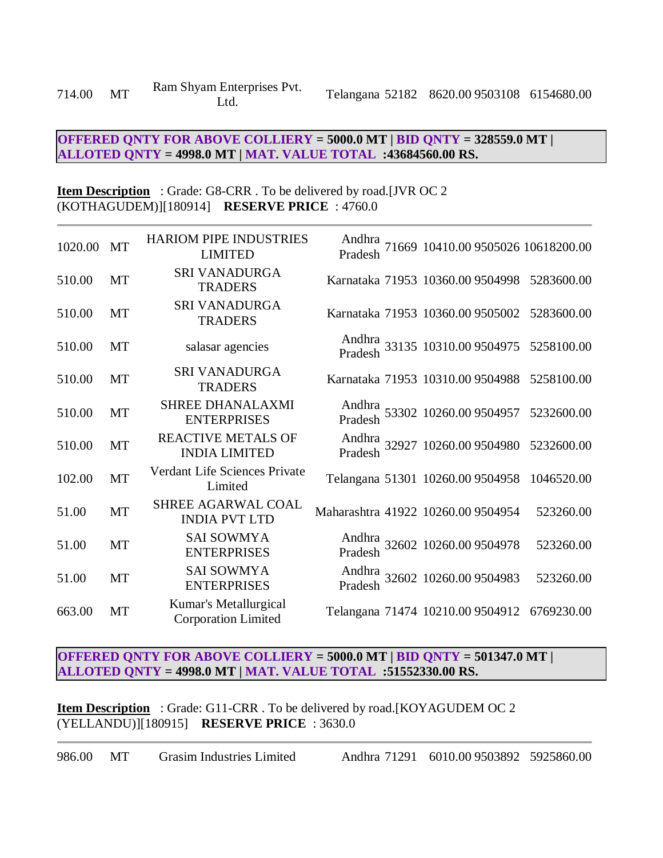# **OFFERED QNTY FOR ABOVE COLLIERY = 5000.0 MT | BID QNTY = 328559.0 MT | ALLOTED QNTY = 4998.0 MT | MAT. VALUE TOTAL :43684560.00 RS.**

### **Item Description** : Grade: G8-CRR . To be delivered by road.[JVR OC 2 (KOTHAGUDEM)][180914] **RESERVE PRICE** : 4760.0

| 1020.00 | <b>MT</b> | <b>HARIOM PIPE INDUSTRIES</b><br><b>LIMITED</b>     |                                    | Andhra<br>71669 10410.00 9505026 10618200.00<br>Pradesh |            |
|---------|-----------|-----------------------------------------------------|------------------------------------|---------------------------------------------------------|------------|
| 510.00  | <b>MT</b> | <b>SRI VANADURGA</b><br><b>TRADERS</b>              |                                    | Karnataka 71953 10360.00 9504998                        | 5283600.00 |
| 510.00  | MT        | <b>SRI VANADURGA</b><br><b>TRADERS</b>              |                                    | Karnataka 71953 10360.00 9505002                        | 5283600.00 |
| 510.00  | MT        | salasar agencies                                    |                                    | Andhra<br>33135 10310.00 9504975<br>Pradesh             | 5258100.00 |
| 510.00  | MT        | <b>SRI VANADURGA</b><br><b>TRADERS</b>              |                                    | Karnataka 71953 10310.00 9504988                        | 5258100.00 |
| 510.00  | <b>MT</b> | <b>SHREE DHANALAXMI</b><br><b>ENTERPRISES</b>       |                                    | Andhra<br>53302 10260.009504957 5232600.00<br>Pradesh   |            |
| 510.00  | <b>MT</b> | <b>REACTIVE METALS OF</b><br><b>INDIA LIMITED</b>   |                                    | Andhra<br>32927 10260.00 9504980 5232600.00<br>Pradesh  |            |
| 102.00  | MT        | Verdant Life Sciences Private<br>Limited            |                                    | Telangana 51301 10260.00 9504958                        | 1046520.00 |
| 51.00   | MT        | SHREE AGARWAL COAL<br><b>INDIA PVT LTD</b>          | Maharashtra 41922 10260.00 9504954 |                                                         | 523260.00  |
| 51.00   | MT        | <b>SAI SOWMYA</b><br><b>ENTERPRISES</b>             |                                    | Andhra<br>32602 10260.009504978<br>Pradesh              | 523260.00  |
| 51.00   | MT        | <b>SAI SOWMYA</b><br><b>ENTERPRISES</b>             |                                    | Andhra<br>32602 10260.00 9504983<br>Pradesh             | 523260.00  |
| 663.00  | <b>MT</b> | Kumar's Metallurgical<br><b>Corporation Limited</b> |                                    | Telangana 71474 10210.00 9504912                        | 6769230.00 |

## **OFFERED QNTY FOR ABOVE COLLIERY = 5000.0 MT | BID QNTY = 501347.0 MT | ALLOTED QNTY = 4998.0 MT | MAT. VALUE TOTAL :51552330.00 RS.**

**Item Description** : Grade: G11-CRR. To be delivered by road.[KOYAGUDEM OC 2 (YELLANDU)][180915] **RESERVE PRICE** : 3630.0

986.00 MT Grasim Industries Limited Andhra 71291 6010.00 9503892 5925860.00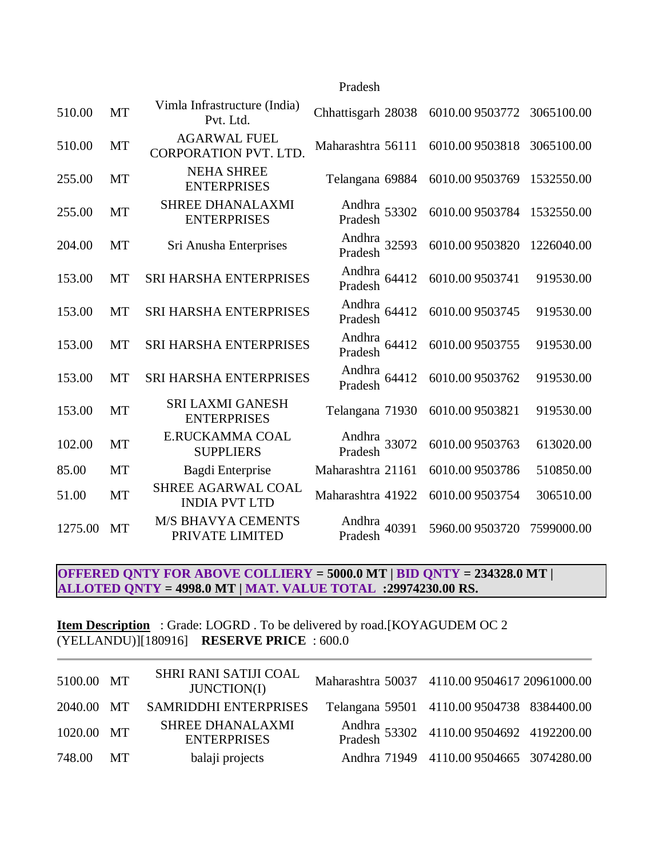## Pradesh

| 510.00  | MT        | Vimla Infrastructure (India)<br>Pvt. Ltd.           | Chhattisgarh 28038         | 6010.009503772  | 3065100.00 |
|---------|-----------|-----------------------------------------------------|----------------------------|-----------------|------------|
| 510.00  | <b>MT</b> | <b>AGARWAL FUEL</b><br><b>CORPORATION PVT. LTD.</b> | Maharashtra 56111          | 6010.009503818  | 3065100.00 |
| 255.00  | <b>MT</b> | <b>NEHA SHREE</b><br><b>ENTERPRISES</b>             | Telangana 69884            | 6010.009503769  | 1532550.00 |
| 255.00  | MT        | SHREE DHANALAXMI<br><b>ENTERPRISES</b>              | Andhra<br>Pradesh 53302    | 6010.009503784  | 1532550.00 |
| 204.00  | MT        | Sri Anusha Enterprises                              | Andhra<br>Pradesh 32593    | 6010.009503820  | 1226040.00 |
| 153.00  | <b>MT</b> | <b>SRI HARSHA ENTERPRISES</b>                       | Andhra 64412<br>Pradesh    | 6010.009503741  | 919530.00  |
| 153.00  | <b>MT</b> | <b>SRI HARSHA ENTERPRISES</b>                       | Andhra 64412<br>Pradesh    | 6010.009503745  | 919530.00  |
| 153.00  | MT        | SRI HARSHA ENTERPRISES                              | Andhra 64412<br>Pradesh    | 6010.009503755  | 919530.00  |
| 153.00  | <b>MT</b> | <b>SRI HARSHA ENTERPRISES</b>                       | Andhra<br>Pradesh<br>64412 | 6010.00 9503762 | 919530.00  |
| 153.00  | MT        | <b>SRI LAXMI GANESH</b><br><b>ENTERPRISES</b>       | Telangana 71930            | 6010.009503821  | 919530.00  |
| 102.00  | <b>MT</b> | E.RUCKAMMA COAL<br><b>SUPPLIERS</b>                 | Andhra<br>Pradesh 33072    | 6010.009503763  | 613020.00  |
| 85.00   | MT        | Bagdi Enterprise                                    | Maharashtra 21161          | 6010.009503786  | 510850.00  |
| 51.00   | MT        | SHREE AGARWAL COAL<br><b>INDIA PVT LTD</b>          | Maharashtra 41922          | 6010.009503754  | 306510.00  |
| 1275.00 | MT        | <b>M/S BHAVYA CEMENTS</b><br>PRIVATE LIMITED        | Andhra<br>40391<br>Pradesh | 5960.00 9503720 | 7599000.00 |

# **OFFERED QNTY FOR ABOVE COLLIERY = 5000.0 MT | BID QNTY = 234328.0 MT | ALLOTED QNTY = 4998.0 MT | MAT. VALUE TOTAL :29974230.00 RS.**

**Item Description** : Grade: LOGRD . To be delivered by road.[KOYAGUDEM OC 2 (YELLANDU)][180916] **RESERVE PRICE** : 600.0

| 5100.00 MT | SHRI RANI SATIJI COAL<br>JUNCTION(I)          | Maharashtra 50037 4110.00 9504617 20961000.00 |                                                      |  |
|------------|-----------------------------------------------|-----------------------------------------------|------------------------------------------------------|--|
|            | 2040.00 MT SAMRIDDHI ENTERPRISES              | Telangana 59501 4110.00 9504738 8384400.00    |                                                      |  |
| 1020.00 MT | <b>SHREE DHANALAXMI</b><br><b>ENTERPRISES</b> |                                               | Andhra<br>53302 4110.009504692 4192200.00<br>Pradesh |  |
| 748.00 MT  | balaji projects                               |                                               | Andhra 71949 4110.00 9504665 3074280.00              |  |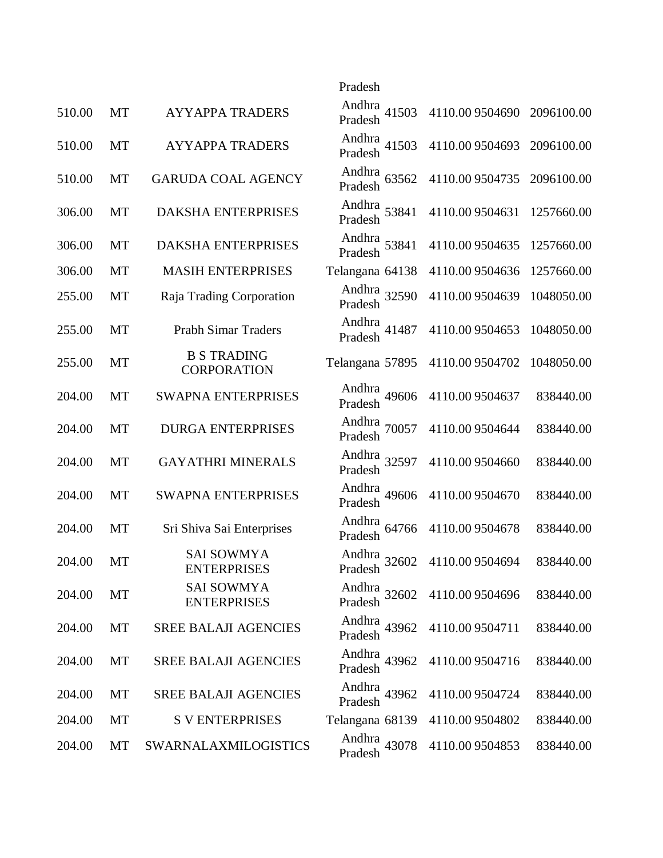|        |           |                                          | Pradesh                 |                 |            |
|--------|-----------|------------------------------------------|-------------------------|-----------------|------------|
| 510.00 | MT        | <b>AYYAPPA TRADERS</b>                   | Andhra 41503<br>Pradesh | 4110.00 9504690 | 2096100.00 |
| 510.00 | <b>MT</b> | <b>AYYAPPA TRADERS</b>                   | Andhra<br>Pradesh 41503 | 4110.00 9504693 | 2096100.00 |
| 510.00 | MT        | <b>GARUDA COAL AGENCY</b>                | Andhra 63562<br>Pradesh | 4110.00 9504735 | 2096100.00 |
| 306.00 | MT        | DAKSHA ENTERPRISES                       | Andhra<br>Pradesh 53841 | 4110.00 9504631 | 1257660.00 |
| 306.00 | <b>MT</b> | DAKSHA ENTERPRISES                       | Andhra 53841<br>Pradesh | 4110.00 9504635 | 1257660.00 |
| 306.00 | MT        | <b>MASIH ENTERPRISES</b>                 | Telangana 64138         | 4110.009504636  | 1257660.00 |
| 255.00 | MT        | Raja Trading Corporation                 | Andhra 32590<br>Pradesh | 4110.00 9504639 | 1048050.00 |
| 255.00 | MT        | <b>Prabh Simar Traders</b>               | Andhra<br>Pradesh 41487 | 4110.00 9504653 | 1048050.00 |
| 255.00 | MT        | <b>B S TRADING</b><br><b>CORPORATION</b> | Telangana 57895         | 4110.009504702  | 1048050.00 |
| 204.00 | MT        | <b>SWAPNA ENTERPRISES</b>                | Andhra<br>Pradesh 49606 | 4110.00 9504637 | 838440.00  |
| 204.00 | <b>MT</b> | <b>DURGA ENTERPRISES</b>                 | Andhra<br>Pradesh 70057 | 4110.00 9504644 | 838440.00  |
| 204.00 | MT        | <b>GAYATHRI MINERALS</b>                 | Andhra<br>Pradesh 32597 | 4110.00 9504660 | 838440.00  |
| 204.00 | MT        | <b>SWAPNA ENTERPRISES</b>                | Andhra<br>Pradesh 49606 | 4110.00 9504670 | 838440.00  |
| 204.00 | MT        | Sri Shiva Sai Enterprises                | Andhra 64766<br>Pradesh | 4110.009504678  | 838440.00  |
| 204.00 | MT        | <b>SAI SOWMYA</b><br><b>ENTERPRISES</b>  | Andhra<br>Pradesh 32602 | 4110.00 9504694 | 838440.00  |
| 204.00 | MT        | <b>SAI SOWMYA</b><br><b>ENTERPRISES</b>  | Andhra 32602<br>Pradesh | 4110.00 9504696 | 838440.00  |
| 204.00 | MT        | <b>SREE BALAJI AGENCIES</b>              | Andhra 43962<br>Pradesh | 4110.009504711  | 838440.00  |
| 204.00 | MT        | <b>SREE BALAJI AGENCIES</b>              | Andhra 43962<br>Pradesh | 4110.009504716  | 838440.00  |
| 204.00 | MT        | <b>SREE BALAJI AGENCIES</b>              | Andhra 43962<br>Pradesh | 4110.009504724  | 838440.00  |
| 204.00 | MT        | <b>S V ENTERPRISES</b>                   | Telangana 68139         | 4110.009504802  | 838440.00  |
| 204.00 | MT        | SWARNALAXMILOGISTICS                     | Andhra 43078<br>Pradesh | 4110.00 9504853 | 838440.00  |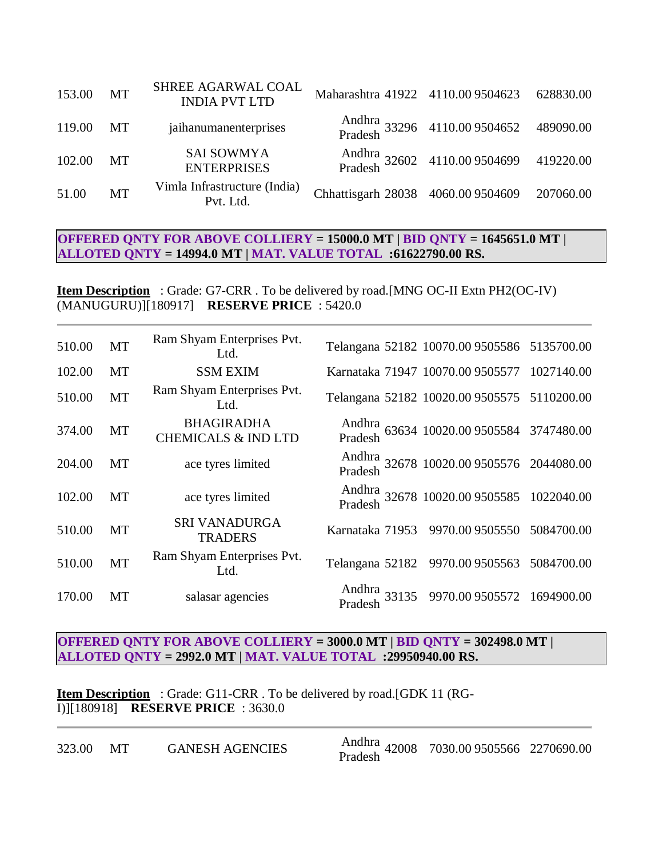| 153.00 | <b>MT</b> | SHREE AGARWAL COAL<br><b>INDIA PVT LTD</b> | Maharashtra 41922 4110.009504623   |                                                     | 628830.00 |
|--------|-----------|--------------------------------------------|------------------------------------|-----------------------------------------------------|-----------|
| 119.00 | MT        | jaihanumanenterprises                      |                                    | Andhra<br>33296 4110.009504652 489090.00<br>Pradesh |           |
| 102.00 | MT        | <b>SAI SOWMYA</b><br><b>ENTERPRISES</b>    |                                    | Andhra<br>22602 4110.009504699 419220.00<br>Pradesh |           |
| 51.00  | MT        | Vimla Infrastructure (India)<br>Pvt. Ltd.  | Chhattisgarh 28038 4060.00 9504609 |                                                     | 207060.00 |

# **OFFERED QNTY FOR ABOVE COLLIERY = 15000.0 MT | BID QNTY = 1645651.0 MT | ALLOTED QNTY = 14994.0 MT | MAT. VALUE TOTAL :61622790.00 RS.**

**Item Description** : Grade: G7-CRR . To be delivered by road.[MNG OC-II Extn PH2(OC-IV) (MANUGURU)][180917] **RESERVE PRICE** : 5420.0

| 510.00 | MT        | Ram Shyam Enterprises Pvt.<br>Ltd.                  | Telangana 52182 10070.00 9505586 5135700.00            |            |
|--------|-----------|-----------------------------------------------------|--------------------------------------------------------|------------|
| 102.00 | MT        | <b>SSM EXIM</b>                                     | Karnataka 71947 10070.00 9505577 1027140.00            |            |
| 510.00 | MT        | Ram Shyam Enterprises Pvt.<br>Ltd.                  | Telangana 52182 10020.00 9505575 5110200.00            |            |
| 374.00 | MT        | <b>BHAGIRADHA</b><br><b>CHEMICALS &amp; IND LTD</b> | Andhra<br>63634 10020.009505584 3747480.00<br>Pradesh  |            |
| 204.00 | MT        | ace tyres limited                                   | Andhra<br>32678 10020.00 9505576 2044080.00<br>Pradesh |            |
| 102.00 | MT        | ace tyres limited                                   | Andhra<br>32678 10020.009505585 1022040.00<br>Pradesh  |            |
| 510.00 | MT        | <b>SRI VANADURGA</b><br><b>TRADERS</b>              | Karnataka 71953 9970.009505550                         | 5084700.00 |
| 510.00 | <b>MT</b> | Ram Shyam Enterprises Pvt.<br>Ltd.                  | Telangana 52182 9970.00 9505563 5084700.00             |            |
| 170.00 | МT        | salasar agencies                                    | Andhra 33135 9970.00 9505572 1694900.00                |            |

#### **OFFERED QNTY FOR ABOVE COLLIERY = 3000.0 MT | BID QNTY = 302498.0 MT | ALLOTED QNTY = 2992.0 MT | MAT. VALUE TOTAL :29950940.00 RS.**

**Item Description** : Grade: G11-CRR. To be delivered by road.[GDK 11 (RG-I)][180918] **RESERVE PRICE** : 3630.0

| 323.00 | MТ | <b>GANESH AGENCIES</b> |
|--------|----|------------------------|
|        |    |                        |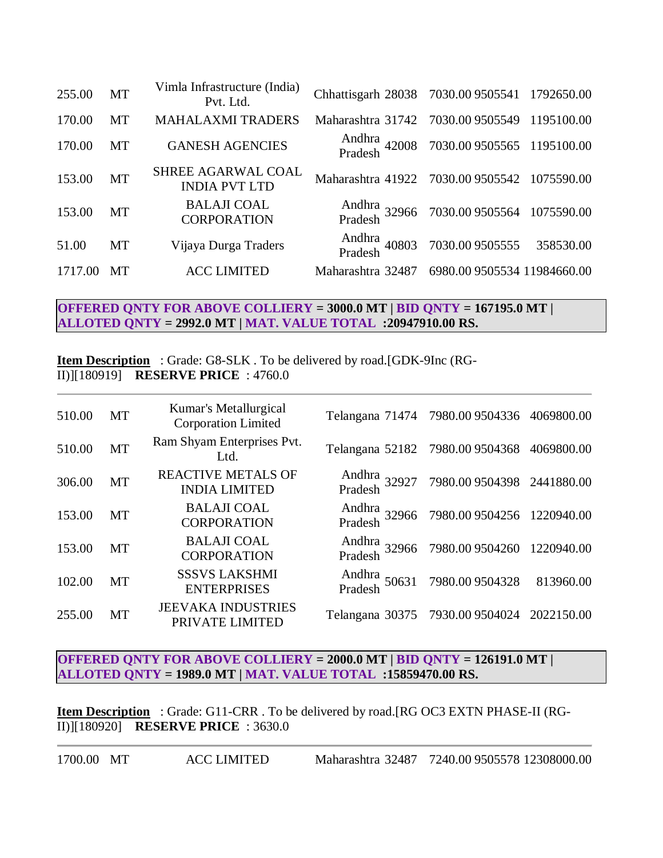| 255.00  | <b>MT</b> | Vimla Infrastructure (India)<br>Pvt. Ltd.  | Chhattisgarh 28038 7030.00 9505541 1792650.00 |                                                      |  |
|---------|-----------|--------------------------------------------|-----------------------------------------------|------------------------------------------------------|--|
| 170.00  | <b>MT</b> | <b>MAHALAXMI TRADERS</b>                   | Maharashtra 31742 7030.009505549 1195100.00   |                                                      |  |
| 170.00  | MT        | <b>GANESH AGENCIES</b>                     |                                               | Andhra<br>42008 7030.009505565 1195100.00<br>Pradesh |  |
| 153.00  | <b>MT</b> | SHREE AGARWAL COAL<br><b>INDIA PVT LTD</b> | Maharashtra 41922 7030.00 9505542 1075590.00  |                                                      |  |
| 153.00  | <b>MT</b> | <b>BALAJI COAL</b><br><b>CORPORATION</b>   |                                               | Andhra 32966 7030.00 9505564 1075590.00<br>Pradesh   |  |
| 51.00   | MT        | Vijaya Durga Traders                       |                                               | Andhra<br>40803 7030.009505555 358530.00<br>Pradesh  |  |
| 1717.00 | MТ        | <b>ACC LIMITED</b>                         | Maharashtra 32487                             | 6980.00 9505534 11984660.00                          |  |

## **OFFERED QNTY FOR ABOVE COLLIERY = 3000.0 MT | BID QNTY = 167195.0 MT | ALLOTED QNTY = 2992.0 MT | MAT. VALUE TOTAL :20947910.00 RS.**

**Item Description** : Grade: G8-SLK . To be delivered by road.[GDK-9Inc (RG-II)][180919] **RESERVE PRICE** : 4760.0

| 510.00 | MT        | Kumar's Metallurgical<br><b>Corporation Limited</b> | Telangana 71474 7980.00 9504336 4069800.00           |            |
|--------|-----------|-----------------------------------------------------|------------------------------------------------------|------------|
| 510.00 | MT        | Ram Shyam Enterprises Pvt.<br>Ltd.                  | Telangana 52182 7980.00 9504368 4069800.00           |            |
| 306.00 | <b>MT</b> | <b>REACTIVE METALS OF</b><br><b>INDIA LIMITED</b>   | Andhra 32927 7980.00 9504398 2441880.00<br>Pradesh   |            |
| 153.00 | <b>MT</b> | <b>BALAJI COAL</b><br><b>CORPORATION</b>            | Andhra 32966 7980.00 9504256 1220940.00<br>Pradesh   |            |
| 153.00 | <b>MT</b> | <b>BALAJI COAL</b><br><b>CORPORATION</b>            | Andhra<br>32966 7980.009504260 1220940.00<br>Pradesh |            |
| 102.00 | MT        | <b>SSSVS LAKSHMI</b><br><b>ENTERPRISES</b>          | Andhra<br>Pradesh 50631 7980.009504328               | 813960.00  |
| 255.00 | MT        | <b>JEEVAKA INDUSTRIES</b><br>PRIVATE LIMITED        | Telangana 30375 7930.00 9504024                      | 2022150.00 |

**OFFERED QNTY FOR ABOVE COLLIERY = 2000.0 MT | BID QNTY = 126191.0 MT | ALLOTED QNTY = 1989.0 MT | MAT. VALUE TOTAL :15859470.00 RS.**

**Item Description** : Grade: G11-CRR . To be delivered by road.[RG OC3 EXTN PHASE-II (RG-II)][180920] **RESERVE PRICE** : 3630.0

1700.00 MT ACC LIMITED Maharashtra 32487 7240.00 9505578 12308000.00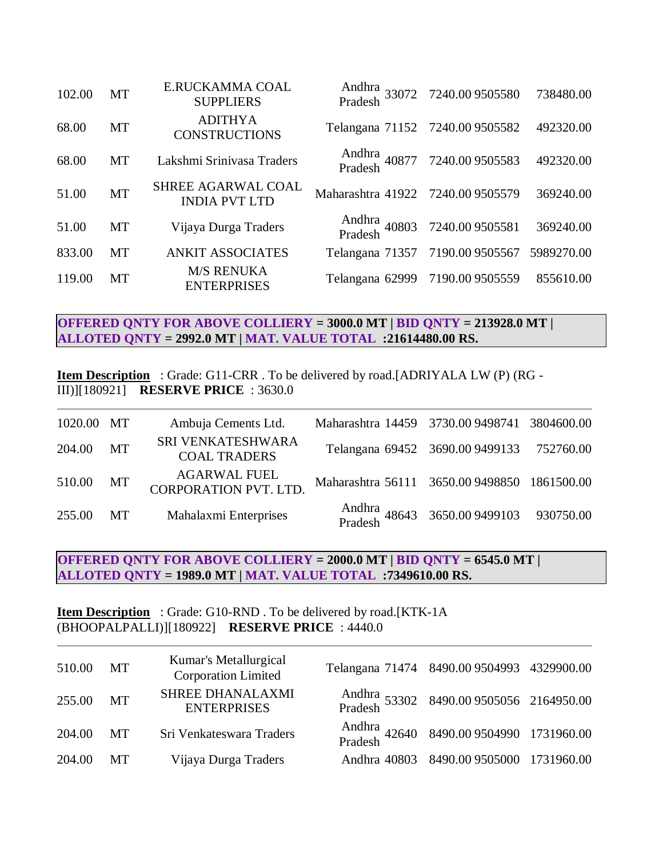| 102.00 | MT        | E.RUCKAMMA COAL<br><b>SUPPLIERS</b>               |                                  | Andhra<br>33072 7240.009505580<br>Pradesh  | 738480.00 |
|--------|-----------|---------------------------------------------------|----------------------------------|--------------------------------------------|-----------|
| 68.00  | MT        | <b>ADITHYA</b><br><b>CONSTRUCTIONS</b>            |                                  | Telangana 71152 7240.009505582             | 492320.00 |
| 68.00  | MT        | Lakshmi Srinivasa Traders                         |                                  | Andhra<br>40877 7240.009505583<br>Pradesh  | 492320.00 |
| 51.00  | <b>MT</b> | <b>SHREE AGARWAL COAL</b><br><b>INDIA PVT LTD</b> | Maharashtra 41922 7240.009505579 |                                            | 369240.00 |
| 51.00  | <b>MT</b> | Vijaya Durga Traders                              |                                  | Andhra<br>Pradesh 40803 7240.009505581     | 369240.00 |
| 833.00 | <b>MT</b> | <b>ANKIT ASSOCIATES</b>                           |                                  | Telangana 71357 7190.00 9505567 5989270.00 |           |
| 119.00 | MT        | <b>M/S RENUKA</b><br><b>ENTERPRISES</b>           |                                  | Telangana 62999 7190.00 9505559            | 855610.00 |

**OFFERED QNTY FOR ABOVE COLLIERY = 3000.0 MT | BID QNTY = 213928.0 MT | ALLOTED QNTY = 2992.0 MT | MAT. VALUE TOTAL :21614480.00 RS.**

**Item Description** : Grade: G11-CRR . To be delivered by road.[ADRIYALA LW (P) (RG - III)][180921] **RESERVE PRICE** : 3630.0

| 1020.00 MT |           | Ambuja Cements Ltd.                                 | Maharashtra 14459 3730.009498741 3804600.00 |                                                   |  |
|------------|-----------|-----------------------------------------------------|---------------------------------------------|---------------------------------------------------|--|
| 204.00     | <b>MT</b> | SRI VENKATESHWARA<br><b>COAL TRADERS</b>            |                                             | Telangana 69452 3690.00 9499133 752760.00         |  |
| 510.00 MT  |           | <b>AGARWAL FUEL</b><br><b>CORPORATION PVT. LTD.</b> | Maharashtra 56111 3650.009498850 1861500.00 |                                                   |  |
| 255.00     | MT        | Mahalaxmi Enterprises                               |                                             | Andhra<br>Pradesh 48643 3650.00 9499103 930750.00 |  |

### **OFFERED QNTY FOR ABOVE COLLIERY = 2000.0 MT | BID QNTY = 6545.0 MT | ALLOTED QNTY = 1989.0 MT | MAT. VALUE TOTAL :7349610.00 RS.**

#### **Item Description** : Grade: G10-RND. To be delivered by road.[KTK-1A (BHOOPALPALLI)][180922] **RESERVE PRICE** : 4440.0

| 510.00 MT | Kumar's Metallurgical<br><b>Corporation Limited</b> | Telangana 71474 8490.00 9504993 4329900.00           |  |
|-----------|-----------------------------------------------------|------------------------------------------------------|--|
| 255.00 MT | <b>SHREE DHANALAXMI</b><br><b>ENTERPRISES</b>       | Andhra<br>53302 8490.009505056 2164950.00<br>Pradesh |  |
| 204.00 MT | Sri Venkateswara Traders                            | Andhra<br>Pradesh 42640 8490.009504990 1731960.00    |  |
| 204.00 MT | Vijaya Durga Traders                                | Andhra 40803 8490.00 9505000 1731960.00              |  |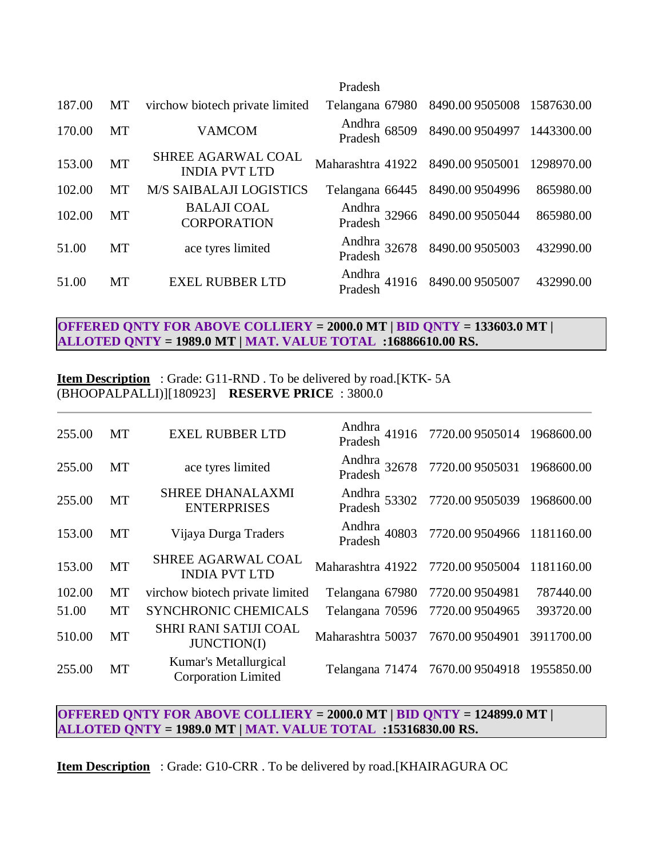|        |           |                                                   | Pradesh                          |                                           |            |
|--------|-----------|---------------------------------------------------|----------------------------------|-------------------------------------------|------------|
| 187.00 | MT        | virchow biotech private limited                   | Telangana 67980                  | 8490.00 9505008 1587630.00                |            |
| 170.00 | <b>MT</b> | <b>VAMCOM</b>                                     | Andhra<br>Pradesh 68509          | 8490.00 9504997 1443300.00                |            |
| 153.00 | <b>MT</b> | <b>SHREE AGARWAL COAL</b><br><b>INDIA PVT LTD</b> | Maharashtra 41922 8490.009505001 |                                           | 1298970.00 |
| 102.00 | МT        | <b>M/S SAIBALAJI LOGISTICS</b>                    | Telangana 66445                  | 8490.00 9504996                           | 865980.00  |
| 102.00 | <b>MT</b> | <b>BALAJI COAL</b><br><b>CORPORATION</b>          |                                  | Andhra<br>32966 8490.009505044<br>Pradesh | 865980.00  |
| 51.00  | <b>MT</b> | ace tyres limited                                 | Andhra<br>Pradesh 32678          | 8490.009505003                            | 432990.00  |
| 51.00  | MT        | <b>EXEL RUBBER LTD</b>                            | Andhra<br>Pradesh<br>41916       | 8490.00 9505007                           | 432990.00  |

## **OFFERED QNTY FOR ABOVE COLLIERY = 2000.0 MT | BID QNTY = 133603.0 MT | ALLOTED QNTY = 1989.0 MT | MAT. VALUE TOTAL :16886610.00 RS.**

**Item Description** : Grade: G11-RND. To be delivered by road.[KTK-5A (BHOOPALPALLI)][180923] **RESERVE PRICE** : 3800.0

| 255.00 | <b>MT</b> | <b>EXEL RUBBER LTD</b>                              |                                  | Andhra<br>41916 7720.009505014 1968600.00<br>Pradesh |            |
|--------|-----------|-----------------------------------------------------|----------------------------------|------------------------------------------------------|------------|
| 255.00 | <b>MT</b> | ace tyres limited                                   |                                  | Andhra<br>32678 7720.009505031 1968600.00<br>Pradesh |            |
| 255.00 | MT        | SHREE DHANALAXMI<br><b>ENTERPRISES</b>              | Pradesh                          | Andhra<br>53302 7720.009505039 1968600.00            |            |
| 153.00 | MT        | Vijaya Durga Traders                                |                                  | Andhra<br>40803 7720.009504966 1181160.00<br>Pradesh |            |
| 153.00 | <b>MT</b> | <b>SHREE AGARWAL COAL</b><br><b>INDIA PVT LTD</b>   | Maharashtra 41922 7720.009505004 |                                                      | 1181160.00 |
| 102.00 | MT        | virchow biotech private limited                     | Telangana 67980                  | 7720.00 9504981                                      | 787440.00  |
| 51.00  | <b>MT</b> | <b>SYNCHRONIC CHEMICALS</b>                         | Telangana 70596                  | 7720.00 9504965                                      | 393720.00  |
| 510.00 | <b>MT</b> | SHRI RANI SATIJI COAL<br><b>JUNCTION(I)</b>         | Maharashtra 50037 7670.009504901 |                                                      | 3911700.00 |
| 255.00 | MT        | Kumar's Metallurgical<br><b>Corporation Limited</b> |                                  | Telangana 71474 7670.009504918 1955850.00            |            |

# **OFFERED QNTY FOR ABOVE COLLIERY = 2000.0 MT | BID QNTY = 124899.0 MT | ALLOTED QNTY = 1989.0 MT | MAT. VALUE TOTAL :15316830.00 RS.**

**Item Description** : Grade: G10-CRR . To be delivered by road.[KHAIRAGURA OC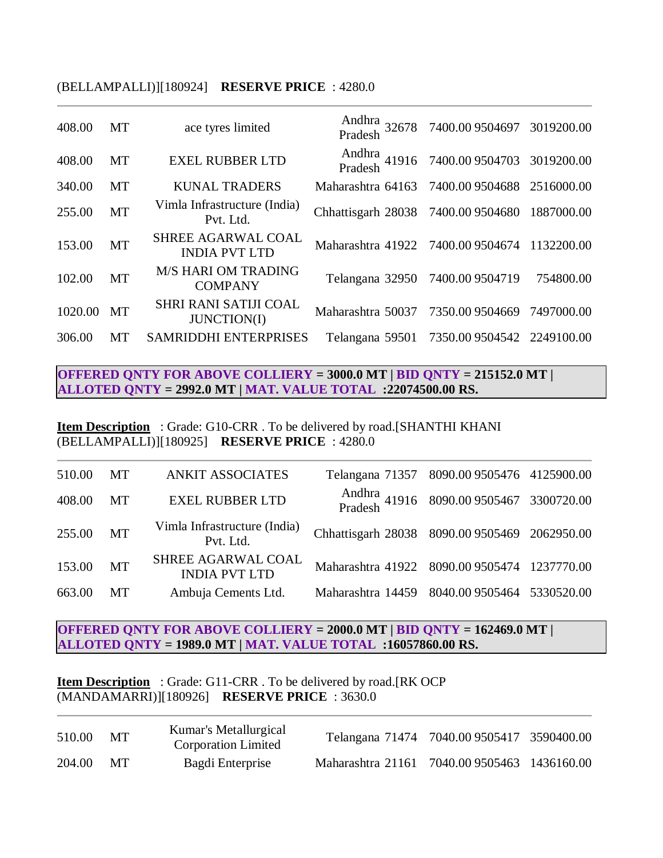#### (BELLAMPALLI)][180924] **RESERVE PRICE** : 4280.0

| 408.00  | MT        | ace tyres limited                                  |                                               | Andhra 32678 7400.00 9504697 3019200.00<br>Pradesh   |            |
|---------|-----------|----------------------------------------------------|-----------------------------------------------|------------------------------------------------------|------------|
| 408.00  | <b>MT</b> | <b>EXEL RUBBER LTD</b>                             |                                               | Andhra<br>41916 7400.009504703 3019200.00<br>Pradesh |            |
| 340.00  | MT        | <b>KUNAL TRADERS</b>                               | Maharashtra 64163 7400.009504688 2516000.00   |                                                      |            |
| 255.00  | <b>MT</b> | Vimla Infrastructure (India)<br>Pvt. Ltd.          | Chhattisgarh 28038 7400.00 9504680 1887000.00 |                                                      |            |
| 153.00  | <b>MT</b> | <b>SHREE AGARWAL COAL</b><br><b>INDIA PVT LTD</b>  | Maharashtra 41922 7400.009504674              |                                                      | 1132200.00 |
| 102.00  | <b>MT</b> | <b>M/S HARI OM TRADING</b><br><b>COMPANY</b>       | Telangana 32950 7400.00 9504719               |                                                      | 754800.00  |
| 1020.00 | <b>MT</b> | <b>SHRI RANI SATIJI COAL</b><br><b>JUNCTION(I)</b> | Maharashtra 50037 7350.009504669 7497000.00   |                                                      |            |
| 306.00  | MТ        | <b>SAMRIDDHI ENTERPRISES</b>                       | Telangana 59501                               | 7350.009504542 2249100.00                            |            |

**OFFERED QNTY FOR ABOVE COLLIERY = 3000.0 MT | BID QNTY = 215152.0 MT | ALLOTED QNTY = 2992.0 MT | MAT. VALUE TOTAL :22074500.00 RS.**

**Item Description** : Grade: G10-CRR . To be delivered by road.[SHANTHI KHANI (BELLAMPALLI)][180925] **RESERVE PRICE** : 4280.0

| 510.00 | MT        | <b>ANKIT ASSOCIATES</b>                    |                                               | Telangana 71357 8090.00 9505476 4125900.00           |  |
|--------|-----------|--------------------------------------------|-----------------------------------------------|------------------------------------------------------|--|
| 408.00 | MT        | <b>EXEL RUBBER LTD</b>                     |                                               | Andhra<br>41916 8090.009505467 3300720.00<br>Pradesh |  |
| 255.00 | <b>MT</b> | Vimla Infrastructure (India)<br>Pvt. Ltd.  | Chhattisgarh 28038 8090.00 9505469 2062950.00 |                                                      |  |
| 153.00 | <b>MT</b> | SHREE AGARWAL COAL<br><b>INDIA PVT LTD</b> | Maharashtra 41922 8090.00 9505474 1237770.00  |                                                      |  |
| 663.00 | MT        | Ambuja Cements Ltd.                        | Maharashtra 14459 8040.00 9505464 5330520.00  |                                                      |  |

**OFFERED QNTY FOR ABOVE COLLIERY = 2000.0 MT | BID QNTY = 162469.0 MT | ALLOTED QNTY = 1989.0 MT | MAT. VALUE TOTAL :16057860.00 RS.**

**Item Description** : Grade: G11-CRR. To be delivered by road.[RK OCP] (MANDAMARRI)][180926] **RESERVE PRICE** : 3630.0

| 510.00 | MT | Kumar's Metallurgical<br><b>Corporation Limited</b> |                                             | Telangana 71474 7040.009505417 3590400.00 |  |
|--------|----|-----------------------------------------------------|---------------------------------------------|-------------------------------------------|--|
| 204.00 | MТ | Bagdi Enterprise                                    | Maharashtra 21161 7040.009505463 1436160.00 |                                           |  |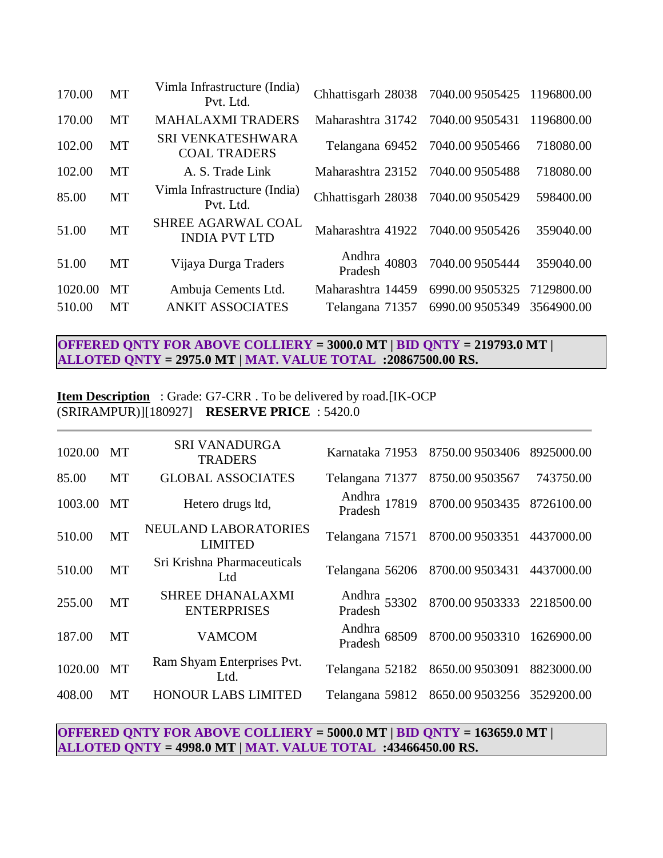| 170.00  | <b>MT</b> | Vimla Infrastructure (India)<br>Pvt. Ltd.  | Chhattisgarh 28038 7040.00 9505425 1196800.00 |                 |            |
|---------|-----------|--------------------------------------------|-----------------------------------------------|-----------------|------------|
| 170.00  | <b>MT</b> | <b>MAHALAXMI TRADERS</b>                   | Maharashtra 31742 7040.009505431              |                 | 1196800.00 |
| 102.00  | MT        | SRI VENKATESHWARA<br><b>COAL TRADERS</b>   | Telangana 69452 7040.00 9505466               |                 | 718080.00  |
| 102.00  | <b>MT</b> | A. S. Trade Link                           | Maharashtra 23152 7040.009505488              |                 | 718080.00  |
| 85.00   | <b>MT</b> | Vimla Infrastructure (India)<br>Pvt. Ltd.  | Chhattisgarh 28038 7040.00 9505429            |                 | 598400.00  |
| 51.00   | MT        | SHREE AGARWAL COAL<br><b>INDIA PVT LTD</b> | Maharashtra 41922 7040.009505426              |                 | 359040.00  |
| 51.00   | <b>MT</b> | Vijaya Durga Traders                       | Andhra<br>Pradesh 40803                       | 7040.00 9505444 | 359040.00  |
| 1020.00 | MT        | Ambuja Cements Ltd.                        | Maharashtra 14459                             | 6990.00 9505325 | 7129800.00 |
| 510.00  | MT        | <b>ANKIT ASSOCIATES</b>                    | Telangana 71357                               | 6990.00 9505349 | 3564900.00 |
|         |           |                                            |                                               |                 |            |

# **OFFERED QNTY FOR ABOVE COLLIERY = 3000.0 MT | BID QNTY = 219793.0 MT | ALLOTED QNTY = 2975.0 MT | MAT. VALUE TOTAL :20867500.00 RS.**

# **Item Description** : Grade: G7-CRR . To be delivered by road.[IK-OCP (SRIRAMPUR)][180927] **RESERVE PRICE** : 5420.0

| 1020.00 | 8750.009503406<br>Karnataka 71953                    | <b>SRI VANADURGA</b><br><b>MT</b><br><b>TRADERS</b> | 8925000.00 |
|---------|------------------------------------------------------|-----------------------------------------------------|------------|
| 85.00   | Telangana 71377<br>8750.009503567                    | <b>MT</b><br><b>GLOBAL ASSOCIATES</b>               | 743750.00  |
| 1003.00 | Andhra<br>17819 8700.009503435<br>Pradesh            | Hetero drugs ltd,<br>MT                             | 8726100.00 |
| 510.00  | Telangana 71571<br>8700.009503351                    | NEULAND LABORATORIES<br><b>MT</b><br><b>LIMITED</b> | 4437000.00 |
| 510.00  | Telangana 56206 8700.00 9503431                      | Sri Krishna Pharmaceuticals<br><b>MT</b><br>Ltd     | 4437000.00 |
| 255.00  | Andhra<br>53302 8700.009503333 2218500.00<br>Pradesh | <b>SHREE DHANALAXMI</b><br>MT<br><b>ENTERPRISES</b> |            |
| 187.00  | Andhra<br>Pradesh 68509 8700.009503310 1626900.00    | MT<br><b>VAMCOM</b>                                 |            |
| 1020.00 | Telangana 52182 8650.009503091                       | Ram Shyam Enterprises Pvt.<br><b>MT</b><br>Ltd.     | 8823000.00 |
| 408.00  | Telangana 59812 8650.009503256 3529200.00            | <b>HONOUR LABS LIMITED</b><br>MT                    |            |
|         |                                                      |                                                     |            |

**OFFERED QNTY FOR ABOVE COLLIERY = 5000.0 MT | BID QNTY = 163659.0 MT | ALLOTED QNTY = 4998.0 MT | MAT. VALUE TOTAL :43466450.00 RS.**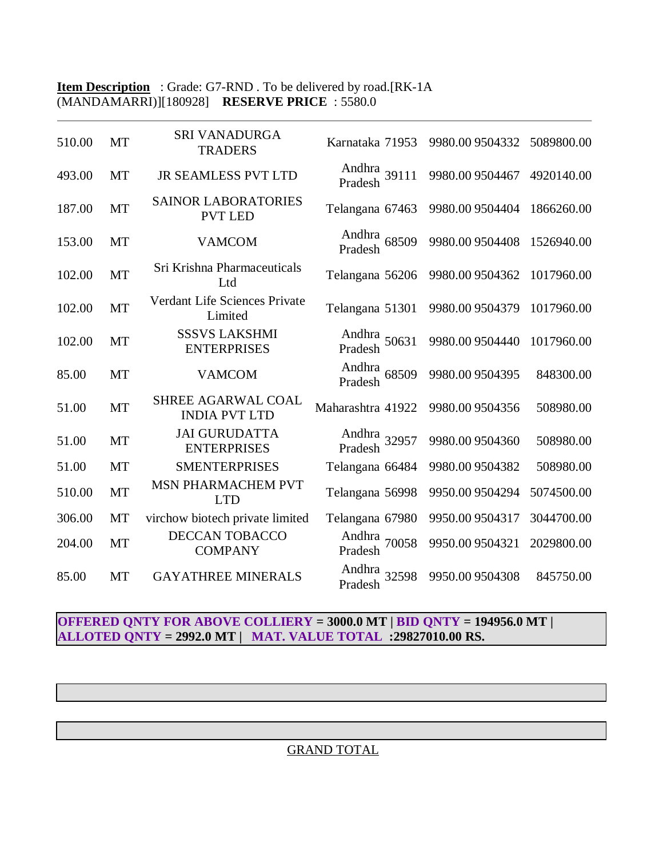# **Item Description** : Grade: G7-RND. To be delivered by road.[RK-1A (MANDAMARRI)][180928] **RESERVE PRICE** : 5580.0

| 510.00 | MT        | <b>SRI VANADURGA</b><br><b>TRADERS</b>       | Karnataka 71953         | 9980.00 9504332 | 5089800.00 |
|--------|-----------|----------------------------------------------|-------------------------|-----------------|------------|
| 493.00 | <b>MT</b> | <b>JR SEAMLESS PVT LTD</b>                   | Andhra<br>Pradesh 39111 | 9980.00 9504467 | 4920140.00 |
| 187.00 | MT        | <b>SAINOR LABORATORIES</b><br><b>PVT LED</b> | Telangana 67463         | 9980.00 9504404 | 1866260.00 |
| 153.00 | <b>MT</b> | <b>VAMCOM</b>                                | Andhra<br>Pradesh 68509 | 9980.00 9504408 | 1526940.00 |
| 102.00 | <b>MT</b> | Sri Krishna Pharmaceuticals<br>Ltd           | Telangana 56206         | 9980.00 9504362 | 1017960.00 |
| 102.00 | <b>MT</b> | Verdant Life Sciences Private<br>Limited     | Telangana 51301         | 9980.00 9504379 | 1017960.00 |
| 102.00 | <b>MT</b> | <b>SSSVS LAKSHMI</b><br><b>ENTERPRISES</b>   | Andhra<br>Pradesh 50631 | 9980.00 9504440 | 1017960.00 |
| 85.00  | MT        | <b>VAMCOM</b>                                | Andhra<br>Pradesh 68509 | 9980.00 9504395 | 848300.00  |
| 51.00  | MT        | SHREE AGARWAL COAL<br><b>INDIA PVT LTD</b>   | Maharashtra 41922       | 9980.00 9504356 | 508980.00  |
| 51.00  | <b>MT</b> | <b>JAI GURUDATTA</b><br><b>ENTERPRISES</b>   | Andhra<br>Pradesh 32957 | 9980.00 9504360 | 508980.00  |
| 51.00  | MT        | <b>SMENTERPRISES</b>                         | Telangana 66484         | 9980.00 9504382 | 508980.00  |
| 510.00 | MT        | MSN PHARMACHEM PVT<br><b>LTD</b>             | Telangana 56998         | 9950.00 9504294 | 5074500.00 |
| 306.00 | MT        | virchow biotech private limited              | Telangana 67980         | 9950.00 9504317 | 3044700.00 |
| 204.00 | <b>MT</b> | <b>DECCAN TOBACCO</b><br><b>COMPANY</b>      | Andhra 70058<br>Pradesh | 9950.00 9504321 | 2029800.00 |
| 85.00  | MT        | <b>GAYATHREE MINERALS</b>                    | Andhra 32598<br>Pradesh | 9950.00 9504308 | 845750.00  |

**OFFERED QNTY FOR ABOVE COLLIERY = 3000.0 MT | BID QNTY = 194956.0 MT | ALLOTED QNTY = 2992.0 MT | MAT. VALUE TOTAL :29827010.00 RS.**

# GRAND TOTAL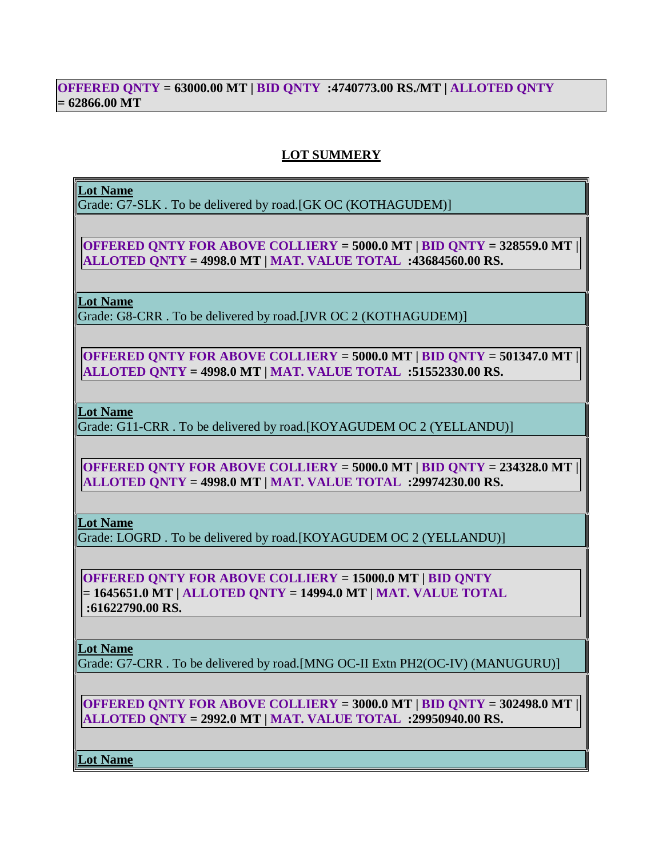## **OFFERED QNTY = 63000.00 MT | BID QNTY :4740773.00 RS./MT | ALLOTED QNTY = 62866.00 MT**

# **LOT SUMMERY**

#### **Lot Name**

Grade: G7-SLK . To be delivered by road.[GK OC (KOTHAGUDEM)]

**OFFERED QNTY FOR ABOVE COLLIERY = 5000.0 MT | BID QNTY = 328559.0 MT | ALLOTED QNTY = 4998.0 MT | MAT. VALUE TOTAL :43684560.00 RS.**

**Lot Name**

Grade: G8-CRR . To be delivered by road.[JVR OC 2 (KOTHAGUDEM)]

**OFFERED QNTY FOR ABOVE COLLIERY = 5000.0 MT | BID QNTY = 501347.0 MT | ALLOTED QNTY = 4998.0 MT | MAT. VALUE TOTAL :51552330.00 RS.**

**Lot Name**

Grade: G11-CRR . To be delivered by road.[KOYAGUDEM OC 2 (YELLANDU)]

**OFFERED QNTY FOR ABOVE COLLIERY = 5000.0 MT | BID QNTY = 234328.0 MT | ALLOTED QNTY = 4998.0 MT | MAT. VALUE TOTAL :29974230.00 RS.**

**Lot Name**

Grade: LOGRD . To be delivered by road.[KOYAGUDEM OC 2 (YELLANDU)]

**OFFERED QNTY FOR ABOVE COLLIERY = 15000.0 MT | BID QNTY = 1645651.0 MT | ALLOTED QNTY = 14994.0 MT | MAT. VALUE TOTAL :61622790.00 RS.**

**Lot Name**

Grade: G7-CRR . To be delivered by road.[MNG OC-II Extn PH2(OC-IV) (MANUGURU)]

**OFFERED QNTY FOR ABOVE COLLIERY = 3000.0 MT | BID QNTY = 302498.0 MT | ALLOTED QNTY = 2992.0 MT | MAT. VALUE TOTAL :29950940.00 RS.**

**Lot Name**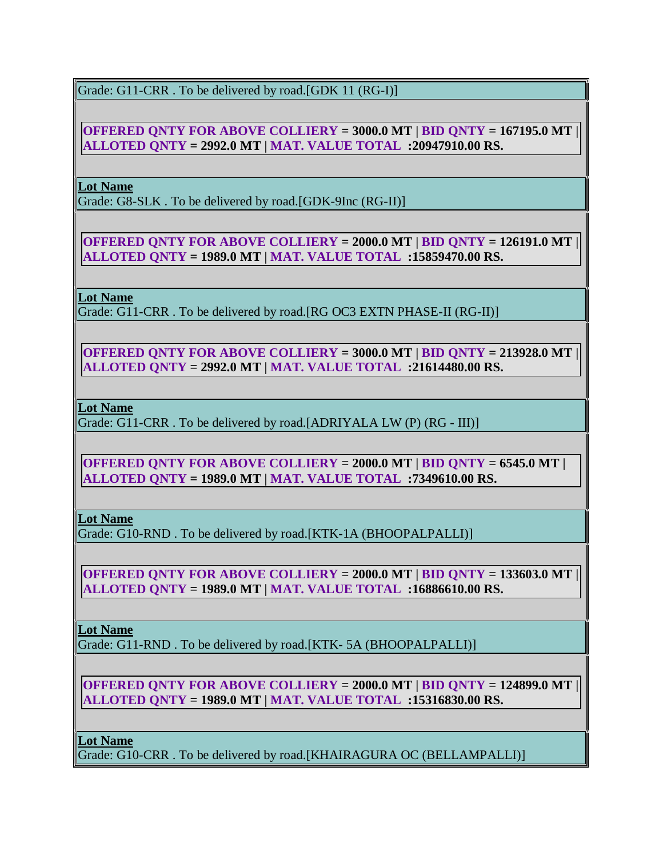Grade: G11-CRR. To be delivered by road. [GDK 11 (RG-I)]

**OFFERED QNTY FOR ABOVE COLLIERY = 3000.0 MT | BID QNTY = 167195.0 MT | ALLOTED QNTY = 2992.0 MT | MAT. VALUE TOTAL :20947910.00 RS.**

**Lot Name**

Grade: G8-SLK . To be delivered by road.[GDK-9Inc (RG-II)]

**OFFERED QNTY FOR ABOVE COLLIERY = 2000.0 MT | BID QNTY = 126191.0 MT | ALLOTED QNTY = 1989.0 MT | MAT. VALUE TOTAL :15859470.00 RS.**

**Lot Name**

Grade: G11-CRR . To be delivered by road.[RG OC3 EXTN PHASE-II (RG-II)]

**OFFERED QNTY FOR ABOVE COLLIERY = 3000.0 MT | BID QNTY = 213928.0 MT | ALLOTED QNTY = 2992.0 MT | MAT. VALUE TOTAL :21614480.00 RS.**

**Lot Name**

Grade: G11-CRR . To be delivered by road.[ADRIYALA LW (P) (RG - III)]

**OFFERED QNTY FOR ABOVE COLLIERY = 2000.0 MT | BID QNTY = 6545.0 MT | ALLOTED QNTY = 1989.0 MT | MAT. VALUE TOTAL :7349610.00 RS.**

**Lot Name**

Grade: G10-RND . To be delivered by road.[KTK-1A (BHOOPALPALLI)]

**OFFERED QNTY FOR ABOVE COLLIERY = 2000.0 MT | BID QNTY = 133603.0 MT | ALLOTED QNTY = 1989.0 MT | MAT. VALUE TOTAL :16886610.00 RS.**

# **Lot Name**

Grade: G11-RND . To be delivered by road.[KTK- 5A (BHOOPALPALLI)]

**OFFERED QNTY FOR ABOVE COLLIERY = 2000.0 MT | BID QNTY = 124899.0 MT | ALLOTED QNTY = 1989.0 MT | MAT. VALUE TOTAL :15316830.00 RS.**

**Lot Name**

Grade: G10-CRR . To be delivered by road.[KHAIRAGURA OC (BELLAMPALLI)]